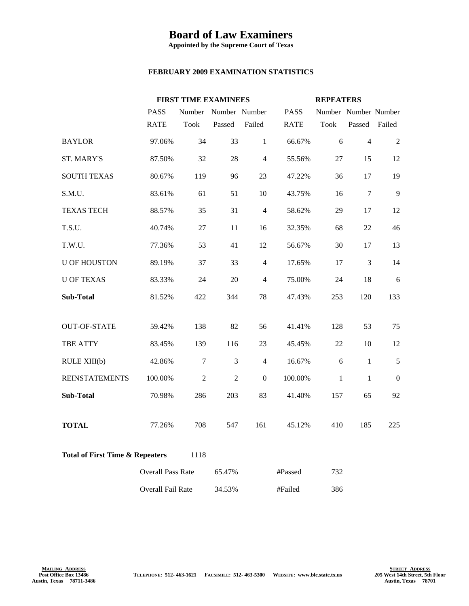## **Board of Law Examiners**

**Appointed by the Supreme Court of Texas**

## **FEBRUARY 2009 EXAMINATION STATISTICS**

|                                            |                          | <b>FIRST TIME EXAMINEES</b> |                |                |             | <b>REPEATERS</b>     |                |                  |
|--------------------------------------------|--------------------------|-----------------------------|----------------|----------------|-------------|----------------------|----------------|------------------|
|                                            | <b>PASS</b>              | Number                      | Number Number  |                | <b>PASS</b> | Number Number Number |                |                  |
|                                            | <b>RATE</b>              | <b>Took</b>                 | Passed         | Failed         | <b>RATE</b> | <b>Took</b>          | Passed         | Failed           |
| <b>BAYLOR</b>                              | 97.06%                   | 34                          | 33             | $\mathbf{1}$   | 66.67%      | 6                    | $\overline{4}$ | $\boldsymbol{2}$ |
| <b>ST. MARY'S</b>                          | 87.50%                   | 32                          | 28             | $\overline{4}$ | 55.56%      | 27                   | 15             | 12               |
| <b>SOUTH TEXAS</b>                         | 80.67%                   | 119                         | 96             | 23             | 47.22%      | 36                   | 17             | 19               |
| S.M.U.                                     | 83.61%                   | 61                          | 51             | 10             | 43.75%      | 16                   | $\overline{7}$ | 9                |
| <b>TEXAS TECH</b>                          | 88.57%                   | 35                          | 31             | $\overline{4}$ | 58.62%      | 29                   | 17             | 12               |
| T.S.U.                                     | 40.74%                   | 27                          | 11             | 16             | 32.35%      | 68                   | 22             | 46               |
| T.W.U.                                     | 77.36%                   | 53                          | 41             | 12             | 56.67%      | 30                   | 17             | 13               |
| <b>U OF HOUSTON</b>                        | 89.19%                   | 37                          | 33             | $\overline{4}$ | 17.65%      | 17                   | $\mathfrak{Z}$ | 14               |
| <b>U OF TEXAS</b>                          | 83.33%                   | 24                          | 20             | $\overline{4}$ | 75.00%      | 24                   | 18             | 6                |
| <b>Sub-Total</b>                           | 81.52%                   | 422                         | 344            | 78             | 47.43%      | 253                  | 120            | 133              |
| <b>OUT-OF-STATE</b>                        | 59.42%                   | 138                         | 82             | 56             | 41.41%      | 128                  | 53             | 75               |
| TBE ATTY                                   | 83.45%                   | 139                         | 116            | 23             | 45.45%      | 22                   | 10             | 12               |
| RULE XIII(b)                               | 42.86%                   | $\overline{7}$              | $\mathfrak{Z}$ | $\overline{4}$ | 16.67%      | 6                    | $\mathbf{1}$   | 5                |
| <b>REINSTATEMENTS</b>                      | 100.00%                  | $\overline{2}$              | $\overline{2}$ | $\mathbf{0}$   | 100.00%     | $\mathbf{1}$         | $\mathbf{1}$   | $\mathbf{0}$     |
| <b>Sub-Total</b>                           | 70.98%                   | 286                         | 203            | 83             | 41.40%      | 157                  | 65             | 92               |
| <b>TOTAL</b>                               | 77.26%                   | 708                         | 547            | 161            | 45.12%      | 410                  | 185            | 225              |
| <b>Total of First Time &amp; Repeaters</b> |                          | 1118                        |                |                |             |                      |                |                  |
|                                            | <b>Overall Pass Rate</b> |                             | 65.47%         |                | #Passed     | 732                  |                |                  |
|                                            | <b>Overall Fail Rate</b> |                             | 34.53%         |                | #Failed     | 386                  |                |                  |